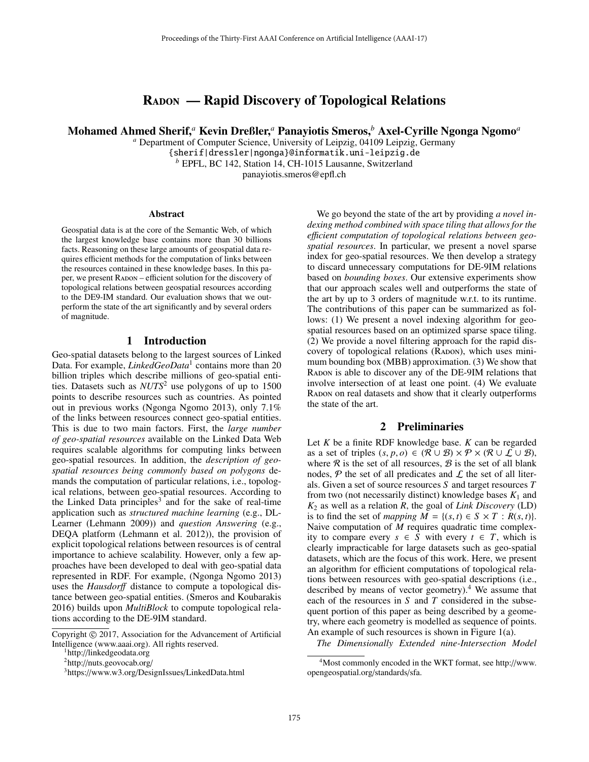# RADON — Rapid Discovery of Topological Relations

Mohamed Ahmed Sherif,*<sup>a</sup>* Kevin Dreßler,*<sup>a</sup>* Panayiotis Smeros,*<sup>b</sup>* Axel-Cyrille Ngonga Ngomo*<sup>a</sup>*

*<sup>a</sup>* Department of Computer Science, University of Leipzig, 04109 Leipzig, Germany {sherif|dressler|ngonga}@informatik.uni-leipzig.de *<sup>b</sup>* EPFL, BC 142, Station 14, CH-1015 Lausanne, Switzerland panayiotis.smeros@epfl.ch

#### **Abstract**

Geospatial data is at the core of the Semantic Web, of which the largest knowledge base contains more than 30 billions facts. Reasoning on these large amounts of geospatial data requires efficient methods for the computation of links between the resources contained in these knowledge bases. In this paper, we present Radon – efficient solution for the discovery of topological relations between geospatial resources according to the DE9-IM standard. Our evaluation shows that we outperform the state of the art significantly and by several orders of magnitude.

#### 1 Introduction

Geo-spatial datasets belong to the largest sources of Linked Data. For example, *LinkedGeoData*<sup>1</sup> contains more than 20 billion triples which describe millions of geo-spatial entities. Datasets such as *NUTS*<sup>2</sup> use polygons of up to 1500 points to describe resources such as countries. As pointed out in previous works (Ngonga Ngomo 2013), only 7.1% of the links between resources connect geo-spatial entities. This is due to two main factors. First, the *large number of geo-spatial resources* available on the Linked Data Web requires scalable algorithms for computing links between geo-spatial resources. In addition, the *description of geospatial resources being commonly based on polygons* demands the computation of particular relations, i.e., topological relations, between geo-spatial resources. According to the Linked Data principles<sup>3</sup> and for the sake of real-time application such as *structured machine learning* (e.g., DL-Learner (Lehmann 2009)) and *question Answering* (e.g., DEQA platform (Lehmann et al. 2012)), the provision of explicit topological relations between resources is of central importance to achieve scalability. However, only a few approaches have been developed to deal with geo-spatial data represented in RDF. For example, (Ngonga Ngomo 2013) uses the *Hausdor*ff distance to compute a topological distance between geo-spatial entities. (Smeros and Koubarakis 2016) builds upon *MultiBlock* to compute topological relations according to the DE-9IM standard.

We go beyond the state of the art by providing *a novel indexing method combined with space tiling that allows for the e*ffi*cient computation of topological relations between geospatial resources*. In particular, we present a novel sparse index for geo-spatial resources. We then develop a strategy to discard unnecessary computations for DE-9IM relations based on *bounding boxes*. Our extensive experiments show that our approach scales well and outperforms the state of the art by up to 3 orders of magnitude w.r.t. to its runtime. The contributions of this paper can be summarized as follows: (1) We present a novel indexing algorithm for geospatial resources based on an optimized sparse space tiling. (2) We provide a novel filtering approach for the rapid discovery of topological relations (RADON), which uses minimum bounding box (MBB) approximation. (3) We show that Radon is able to discover any of the DE-9IM relations that involve intersection of at least one point. (4) We evaluate Radon on real datasets and show that it clearly outperforms the state of the art.

#### 2 Preliminaries

Let *K* be a finite RDF knowledge base. *K* can be regarded as a set of triples  $(s, p, o) \in (\mathcal{R} \cup \mathcal{B}) \times \mathcal{P} \times (\mathcal{R} \cup \mathcal{L} \cup \mathcal{B}),$ where  $\Re$  is the set of all resources,  $\mathcal{B}$  is the set of all blank nodes,  $P$  the set of all predicates and  $L$  the set of all literals. Given a set of source resources *S* and target resources *T* from two (not necessarily distinct) knowledge bases  $K_1$  and *K*<sup>2</sup> as well as a relation *R*, the goal of *Link Discovery* (LD) is to find the set of *mapping*  $M = \{(s, t) \in S \times T : R(s, t)\}.$ Naive computation of *M* requires quadratic time complexity to compare every *s* ∈ *S* with every *t* ∈ *T*, which is clearly impracticable for large datasets such as geo-spatial datasets, which are the focus of this work. Here, we present an algorithm for efficient computations of topological relations between resources with geo-spatial descriptions (i.e., described by means of vector geometry).<sup>4</sup> We assume that each of the resources in *S* and *T* considered in the subsequent portion of this paper as being described by a geometry, where each geometry is modelled as sequence of points. An example of such resources is shown in Figure 1(a).

*The Dimensionally Extended nine-Intersection Model*

Copyright © 2017, Association for the Advancement of Artificial Intelligence (www.aaai.org). All rights reserved. 1http://linkedgeodata.org

<sup>2</sup>http://nuts.geovocab.org/

<sup>3</sup>https://www.w3.org/DesignIssues/LinkedData.html

<sup>4</sup>Most commonly encoded in the WKT format, see http://www. opengeospatial.org/standards/sfa.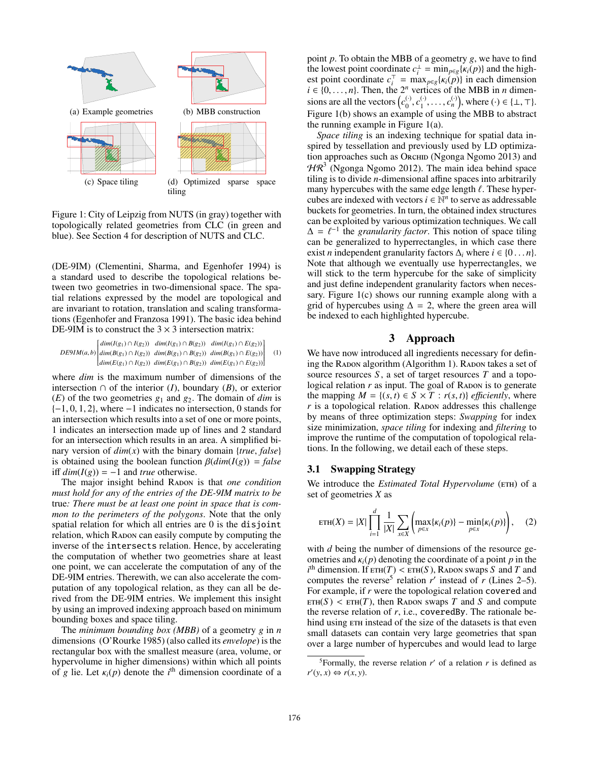

Figure 1: City of Leipzig from NUTS (in gray) together with topologically related geometries from CLC (in green and blue). See Section 4 for description of NUTS and CLC.

(DE-9IM) (Clementini, Sharma, and Egenhofer 1994) is a standard used to describe the topological relations between two geometries in two-dimensional space. The spatial relations expressed by the model are topological and are invariant to rotation, translation and scaling transformations (Egenhofer and Franzosa 1991). The basic idea behind DE-9IM is to construct the  $3 \times 3$  intersection matrix:

$$
DE9IM(a,b) \begin{bmatrix} dim(I(g_1) \cap I(g_2)) & dim(I(g_1) \cap B(g_2)) & dim(I(g_1) \cap E(g_2)) \\ dim(B(g_1) \cap I(g_2)) & dim(B(g_1) \cap B(g_2)) & dim(B(g_1) \cap E(g_2)) \\ dim(E(g_1) \cap I(g_2)) & dim(E(g_1) \cap B(g_2)) & dim(E(g_1) \cap E(g_2)) \end{bmatrix} \quad (1)
$$

where *dim* is the maximum number of dimensions of the intersection ∩ of the interior  $(I)$ , boundary  $(B)$ , or exterior (*E*) of the two geometries *g*<sup>1</sup> and *g*2. The domain of *dim* is  ${-1, 0, 1, 2}$ , where  $-1$  indicates no intersection, 0 stands for an intersection which results into a set of one or more points, 1 indicates an intersection made up of lines and 2 standard for an intersection which results in an area. A simplified binary version of *dim*(*x*) with the binary domain {*true*, *false*} is obtained using the boolean function  $\beta$ ( $dim(I(g)) = false$ iff  $dim(I(g)) = -1$  and *true* otherwise.

The major insight behind RADON is that *one condition must hold for any of the entries of the DE-9IM matrix to be* true*: There must be at least one point in space that is common to the perimeters of the polygons*. Note that the only spatial relation for which all entries are 0 is the disjoint relation, which RADON can easily compute by computing the inverse of the intersects relation. Hence, by accelerating the computation of whether two geometries share at least one point, we can accelerate the computation of any of the DE-9IM entries. Therewith, we can also accelerate the computation of any topological relation, as they can all be derived from the DE-9IM entries. We implement this insight by using an improved indexing approach based on minimum bounding boxes and space tiling.

The *minimum bounding box (MBB)* of a geometry *g* in *n* dimensions (O'Rourke 1985) (also called its *envelope*) is the rectangular box with the smallest measure (area, volume, or hypervolume in higher dimensions) within which all points of *g* lie. Let  $\kappa_i(p)$  denote the *i*<sup>th</sup> dimension coordinate of a

point *p*. To obtain the MBB of a geometry *g*, we have to find the lowest point coordinate  $c_i^{\perp} = \min_{p \in g} {\kappa_i(p)}$  and the highest point coordinate  $c_i^{\top} = \max_{p \in g} {\{\kappa_i(p)\}}$  in each dimension  $i \in \{0, \ldots, n\}$ . Then, the  $2^n$  vertices of the MBB in *n* dimensions are all the vectors  $(c_0^{(\cdot)}, c_1^{(\cdot)}, \ldots, c_n^{(\cdot)})$ , where  $(\cdot) \in \{\bot, \top\}.$ Figure 1(b) shows an example of using the MBB to abstract the running example in Figure  $1(a)$ .

*Space tiling* is an indexing technique for spatial data inspired by tessellation and previously used by LD optimization approaches such as Orchid (Ngonga Ngomo 2013) and  $H\mathcal{R}^3$  (Ngonga Ngomo 2012). The main idea behind space tiling is to divide *n*-dimensional affine spaces into arbitrarily many hypercubes with the same edge length  $\ell$ . These hypercubes are indexed with vectors  $i \in \mathbb{N}^n$  to serve as addressable buckets for geometries. In turn, the obtained index structures can be exploited by various optimization techniques. We call  $\Delta = \ell^{-1}$  the *granularity factor*. This notion of space tiling can be generalized to hyperrectangles, in which case there exist *n* independent granularity factors  $\Delta_i$  where  $i \in \{0 \dots n\}$ . Note that although we eventually use hyperrectangles, we will stick to the term hypercube for the sake of simplicity and just define independent granularity factors when necessary. Figure 1(c) shows our running example along with a grid of hypercubes using  $\Delta = 2$ , where the green area will be indexed to each highlighted hypercube.

## 3 Approach

We have now introduced all ingredients necessary for defining the RADON algorithm (Algorithm 1). RADON takes a set of source resources *S* , a set of target resources *T* and a topological relation  $r$  as input. The goal of RADON is to generate the mapping  $M = \{(s, t) \in S \times T : r(s, t)\}\$ efficiently, where  $r$  is a topological relation. Rapon addresses this challenge by means of three optimization steps: *Swapping* for index size minimization, *space tiling* for indexing and *filtering* to improve the runtime of the computation of topological relations. In the following, we detail each of these steps.

#### 3.1 Swapping Strategy

We introduce the *Estimated Total Hypervolume* (ETH) of a set of geometries *X* as

ETH(X) = |X| 
$$
\prod_{i=1}^{d} \frac{1}{|X|} \sum_{x \in X} \left( \max_{p \in x} \{ \kappa_i(p) \} - \min_{p \in x} \{ \kappa_i(p) \} \right),
$$
 (2)

with *d* being the number of dimensions of the resource geometries and  $\kappa_i(p)$  denoting the coordinate of a point *p* in the  $i^{\text{th}}$  dimension. If  $\text{ETH}(T) < \text{ETH}(S)$ , RADON swaps *S* and *T* and computes the reverse<sup>5</sup> relation  $r'$  instead of  $r$  (Lines 2–5). For example, if *r* were the topological relation covered and  $ETH(S) < ETH(T)$ , then RADON swaps *T* and *S* and compute the reverse relation of  $r$ , i.e., coveredBy. The rationale behind using  $ETH$  instead of the size of the datasets is that even small datasets can contain very large geometries that span over a large number of hypercubes and would lead to large

<sup>&</sup>lt;sup>5</sup>Formally, the reverse relation  $r'$  of a relation  $r$  is defined as  $r'(y, x) \Leftrightarrow r(x, y).$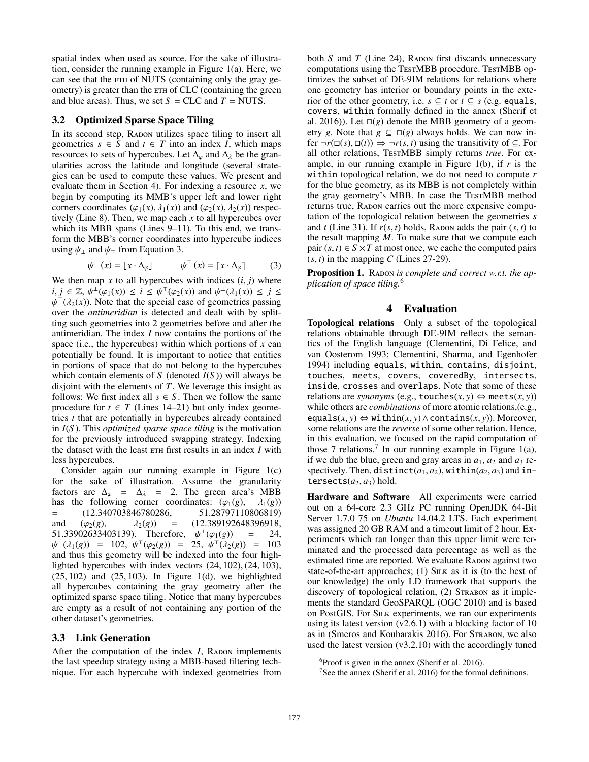spatial index when used as source. For the sake of illustration, consider the running example in Figure 1(a). Here, we can see that the ETH of NUTS (containing only the gray geometry) is greater than the  $ETH$  of CLC (containing the green and blue areas). Thus, we set  $S = CLC$  and  $T = NUTS$ .

#### 3.2 Optimized Sparse Space Tiling

In its second step, RADON utilizes space tiling to insert all geometries  $s \in S$  and  $t \in T$  into an index *I*, which maps resources to sets of hypercubes. Let  $\Delta_{\varphi}$  and  $\Delta_{\lambda}$  be the granularities across the latitude and longitude (several strategies can be used to compute these values. We present and evaluate them in Section 4). For indexing a resource *x*, we begin by computing its MMB's upper left and lower right corners coordinates ( $\varphi_1(x)$ ,  $\lambda_1(x)$ ) and ( $\varphi_2(x)$ ,  $\lambda_2(x)$ ) respectively (Line 8). Then, we map each *x* to all hypercubes over which its MBB spans (Lines 9–11). To this end, we transform the MBB's corner coordinates into hypercube indices using  $\psi_{\perp}$  and  $\psi_{\perp}$  from Equation 3.

$$
\psi^{\perp}(x) = [x \cdot \Delta_{\varphi}] \qquad \psi^{\top}(x) = [x \cdot \Delta_{\varphi}] \qquad (3)
$$

We then map  $x$  to all hypercubes with indices  $(i, j)$  where  $i, j \in \mathbb{Z}, \psi^{\perp}(\varphi_1(x)) \leq i \leq \psi^{\top}(\varphi_2(x))$  and  $\psi^{\perp}(\lambda_1(x)) \leq j \leq$  $\psi^{\top}(\lambda_2(x))$ . Note that the special case of geometries passing over the *antimeridian* is detected and dealt with by splitting such geometries into 2 geometries before and after the antimeridian. The index *I* now contains the portions of the space (i.e., the hypercubes) within which portions of *x* can potentially be found. It is important to notice that entities in portions of space that do not belong to the hypercubes which contain elements of *S* (denoted *I*(*S* )) will always be disjoint with the elements of *T*. We leverage this insight as follows: We first index all  $s \in S$ . Then we follow the same procedure for  $t \in T$  (Lines 14–21) but only index geometries *t* that are potentially in hypercubes already contained in *I*(*S* ). This *optimized sparse space tiling* is the motivation for the previously introduced swapping strategy. Indexing the dataset with the least  $ETH$  first results in an index *I* with less hypercubes.

Consider again our running example in Figure 1(c) for the sake of illustration. Assume the granularity factors are  $\Delta_{\varphi} = \Delta_{\lambda} = 2$ . The green area's MBB has the following corner coordinates:  $(\varphi_1(g), \lambda_1(g))$ <br>= (12.340703846780286, 51.28797110806819)  $=$  (12.340703846780286, and  $(\varphi_2(g), \lambda_2(g)) = (12.389192648396918,$ <br>51.33902633403139). Therefore.  $\psi^{\perp}(\varphi_1(g)) = 24$ . 51.33902633403139). Therefore,  $\psi^{\perp}(\varphi_1(g))$  $\psi^{\perp}(\lambda_1(g)) = 102, \ \psi^{\perp}(\varphi_2(g)) = 25, \ \psi^{\perp}(\lambda_2(g)) = 103$ and thus this geometry will be indexed into the four highlighted hypercubes with index vectors (24, 102), (24, 103),  $(25, 102)$  and  $(25, 103)$ . In Figure 1(d), we highlighted all hypercubes containing the gray geometry after the optimized sparse space tiling. Notice that many hypercubes are empty as a result of not containing any portion of the other dataset's geometries.

### 3.3 Link Generation

After the computation of the index  $I$ , Radon implements the last speedup strategy using a MBB-based filtering technique. For each hypercube with indexed geometries from

both  $S$  and  $T$  (Line 24), RADON first discards unnecessary computations using the TestMBB procedure. TestMBB optimizes the subset of DE-9IM relations for relations where one geometry has interior or boundary points in the exterior of the other geometry, i.e.  $s \subseteq t$  or  $t \subseteq s$  (e.g. equals, covers, within formally defined in the annex (Sherif et al. 2016)). Let  $\square(g)$  denote the MBB geometry of a geometry *g*. Note that  $g \subseteq \Box(g)$  always holds. We can now infer  $\neg r(\Box(s), \Box(t)) \Rightarrow \neg r(s, t)$  using the transitivity of  $\subseteq$ . For all other relations, TestMBB simply returns *true*. For example, in our running example in Figure  $1(b)$ , if  $r$  is the within topological relation, we do not need to compute *r* for the blue geometry, as its MBB is not completely within the gray geometry's MBB. In case the TESTMBB method returns true, RADON carries out the more expensive computation of the topological relation between the geometries *s* and *t* (Line 31). If  $r(s, t)$  holds, RADON adds the pair  $(s, t)$  to the result mapping *M*. To make sure that we compute each pair  $(s, t) \in S \times T$  at most once, we cache the computed pairs  $(s, t)$  in the mapping *C* (Lines 27-29).

Proposition 1. RADON is complete and correct w.r.t. the ap*plication of space tiling.*<sup>6</sup>

## 4 Evaluation

Topological relations Only a subset of the topological relations obtainable through DE-9IM reflects the semantics of the English language (Clementini, Di Felice, and van Oosterom 1993; Clementini, Sharma, and Egenhofer 1994) including equals, within, contains, disjoint, touches, meets, covers, coveredBy, intersects, inside, crosses and overlaps. Note that some of these relations are *synonyms* (e.g.,  $\text{touches}(x, y) \Leftrightarrow \text{meets}(x, y)$ ) while others are *combinations* of more atomic relations,(e.g., equals(*x*, *y*) ⇔ within(*x*, *y*) ∧ contains(*x*, *y*)). Moreover, some relations are the *reverse* of some other relation. Hence, in this evaluation, we focused on the rapid computation of those 7 relations.<sup>7</sup> In our running example in Figure 1(a), if we dub the blue, green and gray areas in  $a_1$ ,  $a_2$  and  $a_3$  respectively. Then, distinct( $a_1$ ,  $a_2$ ), within( $a_2$ ,  $a_3$ ) and intersects $(a_2, a_3)$  hold.

Hardware and Software All experiments were carried out on a 64-core 2.3 GHz PC running OpenJDK 64-Bit Server 1.7.0 75 on *Ubuntu* 14.04.2 LTS. Each experiment was assigned 20 GB RAM and a timeout limit of 2 hour. Experiments which ran longer than this upper limit were terminated and the processed data percentage as well as the estimated time are reported. We evaluate RADON against two state-of-the-art approaches; (1) SILK as it is (to the best of our knowledge) the only LD framework that supports the discovery of topological relation, (2) STRABON as it implements the standard GeoSPARQL (OGC 2010) and is based on PostGIS. For SILK experiments, we ran our experiments using its latest version (v2.6.1) with a blocking factor of 10 as in (Smeros and Koubarakis 2016). For Strabon, we also used the latest version (v3.2.10) with the accordingly tuned

 $6P$ roof is given in the annex (Sherif et al. 2016).

<sup>&</sup>lt;sup>7</sup>See the annex (Sherif et al. 2016) for the formal definitions.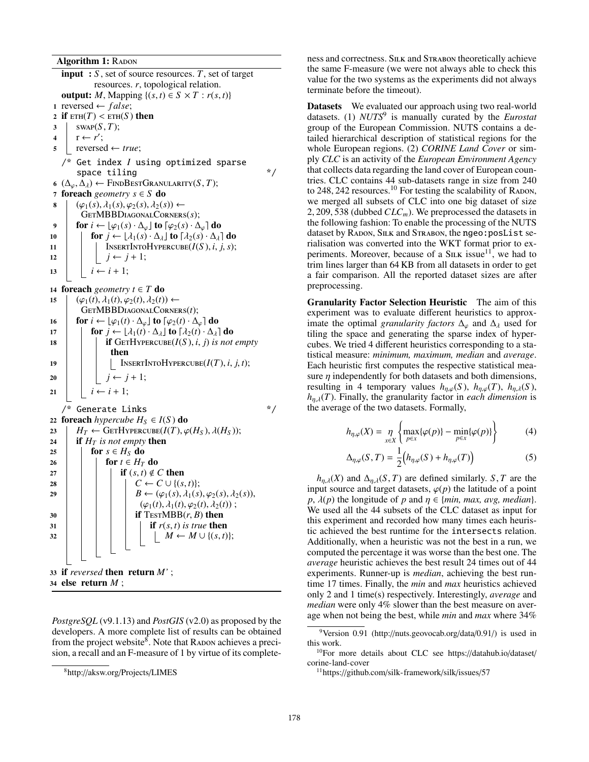Algorithm 1: RADON

input : *S* , set of source resources. *T*, set of target resources. *r*, topological relation. output: *M*, Mapping  $\{(s, t) \in S \times T : r(s, t)\}$ 1 reversed  $\leftarrow false;$ 2 if  $ETH(T) < ETH(S)$  then  $3$  swap( $S, T$ );  $4 \mid r \leftarrow r';$  $5$  reversed  $\leftarrow true;$ /\* Get index *I* using optimized sparse space tiling  $*$ 6 ( $\Delta_{\varphi}, \Delta_{\lambda}$ )  $\leftarrow$  FINDBESTGRANULARITY(*S*, *T*); <sup>7</sup> foreach *geometry s* ∈ *S* do  $\mathbf{8}$   $\phi_1(s), \lambda_1(s), \varphi_2(s), \lambda_2(s) \leftarrow$ GetMBBDiagonalCorners(*s*); 9 **for**  $i$  ←  $\lfloor \varphi_1(s) \cdot \Delta_{\varphi} \rfloor$  to  $\lceil \varphi_2(s) \cdot \Delta_{\varphi} \rceil$  do 10 **for**  $j \leftarrow \lfloor \lambda_1(s) \cdot \Delta_{\lambda} \rfloor$  to  $\lceil \lambda_2(s) \cdot \Delta_{\lambda} \rceil$  do 11 | INSERTINTOHYPERCUBE( $I(S)$ , *i*, *j*, *s*); 12 **j**  $j \leftarrow j + 1;$ 13  $i \leftarrow i + 1;$ 14 **foreach** *geometry*  $t \in T$  **do** 15  $\phi_1(t), \lambda_1(t), \varphi_2(t), \lambda_2(t) \leftarrow$ GetMBBDiagonalCorners(*t*); 16  $\int$  for  $i \leftarrow \lfloor \varphi_1(t) \cdot \Delta_{\varphi} \rfloor$  to  $\lceil \varphi_2(t) \cdot \Delta_{\varphi} \rceil$  do 17 **for**  $j \leftarrow \lfloor \lambda_1(t) \cdot \Delta_{\lambda} \rfloor$  to  $\lceil \lambda_2(t) \cdot \Delta_{\lambda} \rceil$  do 18 **if** GETHYPERCUBE( $I(S)$ , *i*, *j*) *is not empty* then 19 | | INSERTINTOHYPERCUBE( $I(T)$ , *i*, *j*, *t*); 20  $\vert \vert \vert j \leftarrow j+1;$ 21  $i \leftarrow i + 1;$ /\* Generate Links \*/ 22 foreach *hypercube*  $H_S \in I(S)$  do  $23 \mid H_T \leftarrow \text{GETHYPERCUBE}(I(T), \varphi(H_S), \lambda(H_S));$ 24 **if**  $H_T$  *is not empty* then 25 **for**  $s \in H_S$  do 26 **for**  $t \in H_T$  do 27 | | | **if**  $(s, t) \notin C$  then 28 **c**  $\vert \cdot \vert$  **c**  $\vert \cdot \vert$  **c**  $\vert C \leftarrow C \cup \{(s,t)\};$ 29 **B**  $\leftarrow (\varphi_1(s), \lambda_1(s), \varphi_2(s), \lambda_2(s)),$  $(\varphi_1(t), \lambda_1(t), \varphi_2(t), \lambda_2(t))$ ;  $30$  | | | | if TestMBB $(r, B)$  then  $31$  if  $r(s, t)$  *is true* then  $32 \mid | \cdot | \cdot | \cdot | \cdot | M \leftarrow M \cup \{(s, t)\};$ <sup>33</sup> if *reversed* then return *M'* ;

<sup>34</sup> else return *M* ;

*PostgreSQL* (v9.1.13) and *PostGIS* (v2.0) as proposed by the developers. A more complete list of results can be obtained from the project website<sup>8</sup>. Note that RADON achieves a precision, a recall and an F-measure of 1 by virtue of its complete-

ness and correctness. Silk and Strabon theoretically achieve the same F-measure (we were not always able to check this value for the two systems as the experiments did not always terminate before the timeout).

Datasets We evaluated our approach using two real-world datasets. (1) *NUTS*<sup>9</sup> is manually curated by the *Eurostat* group of the European Commission. NUTS contains a detailed hierarchical description of statistical regions for the whole European regions. (2) *CORINE Land Cover* or simply *CLC* is an activity of the *European Environment Agency* that collects data regarding the land cover of European countries. CLC contains 44 sub-datasets range in size from 240 to  $248$ ,  $242$  resources.<sup>10</sup> For testing the scalability of RADON, we merged all subsets of CLC into one big dataset of size 2, 209, 538 (dubbed  $CLC_m$ ). We preprocessed the datasets in the following fashion: To enable the processing of the NUTS dataset by RADON, SILK and STRABON, the ngeo:posList serialisation was converted into the WKT format prior to experiments. Moreover, because of a  $\text{SILK}$  issue<sup>11</sup>, we had to trim lines larger than 64 KB from all datasets in order to get a fair comparison. All the reported dataset sizes are after preprocessing.

Granularity Factor Selection Heuristic The aim of this experiment was to evaluate different heuristics to approximate the optimal *granularity factors*  $\Delta_{\varphi}$  and  $\Delta_{\lambda}$  used for tiling the space and generating the sparse index of hypercubes. We tried 4 different heuristics corresponding to a statistical measure: *minimum, maximum, median* and *average*. Each heuristic first computes the respective statistical measure  $\eta$  independently for both datasets and both dimensions, resulting in 4 temporary values  $h_{\eta,\varphi}(S)$ ,  $h_{\eta,\varphi}(T)$ ,  $h_{\eta,\lambda}(S)$ ,  $h_{\eta,\lambda}(T)$ . Finally, the granularity factor in *each dimension* is the average of the two datasets. Formally,

$$
h_{\eta,\varphi}(X) = \eta \left\{ \max_{p \in X} \{ \varphi(p) \} - \min_{p \in X} \{ \varphi(p) \} \right\} \tag{4}
$$

$$
\Delta_{\eta,\varphi}(S,T) = \frac{1}{2} \Big( h_{\eta,\varphi}(S) + h_{\eta,\varphi}(T) \Big) \tag{5}
$$

 $h_{\eta,\lambda}(X)$  and  $\Delta_{\eta,\lambda}(S,T)$  are defined similarly. *S*, *T* are the input source and target datasets,  $\varphi(p)$  the latitude of a point  $p$ ,  $\lambda(p)$  the longitude of *p* and  $\eta \in \{min, max, avg, median\}.$ We used all the 44 subsets of the CLC dataset as input for this experiment and recorded how many times each heuristic achieved the best runtime for the intersects relation. Additionally, when a heuristic was not the best in a run, we computed the percentage it was worse than the best one. The *average* heuristic achieves the best result 24 times out of 44 experiments. Runner-up is *median*, achieving the best runtime 17 times. Finally, the *min* and *max* heuristics achieved only 2 and 1 time(s) respectively. Interestingly, *average* and *median* were only 4% slower than the best measure on average when not being the best, while *min* and *max* where 34%

<sup>8</sup>http://aksw.org/Projects/LIMES

<sup>&</sup>lt;sup>9</sup>Version 0.91 (http://nuts.geovocab.org/data/0.91/) is used in this work.

<sup>10</sup>For more details about CLC see https://datahub.io/dataset/ corine-land-cover

<sup>11</sup>https://github.com/silk-framework/silk/issues/57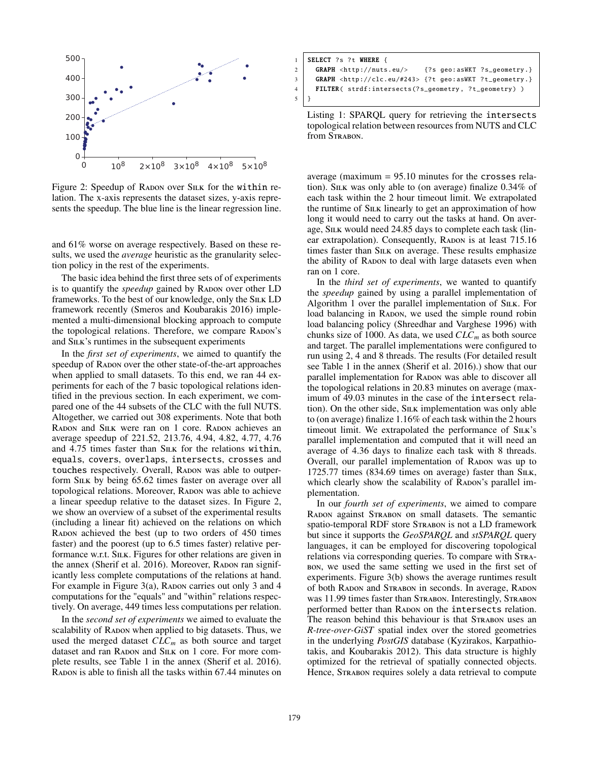

Figure 2: Speedup of RADON over SILK for the within relation. The x-axis represents the dataset sizes, y-axis represents the speedup. The blue line is the linear regression line.

and 61% worse on average respectively. Based on these results, we used the *average* heuristic as the granularity selection policy in the rest of the experiments.

The basic idea behind the first three sets of of experiments is to quantify the *speedup* gained by RADON over other LD frameworks. To the best of our knowledge, only the SILK LD framework recently (Smeros and Koubarakis 2016) implemented a multi-dimensional blocking approach to compute the topological relations. Therefore, we compare RADON's and S<sub>ILK</sub>'s runtimes in the subsequent experiments

In the *first set of experiments*, we aimed to quantify the speedup of RADON over the other state-of-the-art approaches when applied to small datasets. To this end, we ran 44 experiments for each of the 7 basic topological relations identified in the previous section. In each experiment, we compared one of the 44 subsets of the CLC with the full NUTS. Altogether, we carried out 308 experiments. Note that both RADON and SILK were ran on 1 core. RADON achieves an average speedup of 221.52, 213.76, 4.94, 4.82, 4.77, 4.76 and 4.75 times faster than SILK for the relations within, equals, covers, overlaps, intersects, crosses and touches respectively. Overall, RADON was able to outperform SILK by being 65.62 times faster on average over all topological relations. Moreover, RADON was able to achieve a linear speedup relative to the dataset sizes. In Figure 2, we show an overview of a subset of the experimental results (including a linear fit) achieved on the relations on which RADON achieved the best (up to two orders of 450 times faster) and the poorest (up to 6.5 times faster) relative performance w.r.t. SILK. Figures for other relations are given in the annex (Sherif et al. 2016). Moreover, RADON ran significantly less complete computations of the relations at hand. For example in Figure 3(a), RADON carries out only 3 and 4 computations for the "equals" and "within" relations respectively. On average, 449 times less computations per relation.

In the *second set of experiments* we aimed to evaluate the scalability of RADON when applied to big datasets. Thus, we used the merged dataset *CLCm* as both source and target dataset and ran RADON and SILK on 1 core. For more complete results, see Table 1 in the annex (Sherif et al. 2016). Radon is able to finish all the tasks within 67.44 minutes on

|             | $1$ SELECT ?s ?t WHERE {                                              |
|-------------|-----------------------------------------------------------------------|
|             | 2 GRAPH <http: nuts.eu=""></http:> {?s geo:asWKT ?s_geometry.}        |
|             | 3 GRAPH <http: #243="" clc.eu=""> {?t geo:asWKT ?t_geometry.}</http:> |
|             | 4   FILTER( strdf:intersects(?s_geometry, ?t_geometry) )              |
| $5 \mid \}$ |                                                                       |

Listing 1: SPARQL query for retrieving the intersects topological relation between resources from NUTS and CLC from STRABON.

average (maximum  $= 95.10$  minutes for the crosses relation). Sink was only able to (on average) finalize  $0.34\%$  of each task within the 2 hour timeout limit. We extrapolated the runtime of Silk linearly to get an approximation of how long it would need to carry out the tasks at hand. On average, SILK would need 24.85 days to complete each task (linear extrapolation). Consequently, RADON is at least 715.16 times faster than S<sub>ILK</sub> on average. These results emphasize the ability of RADON to deal with large datasets even when ran on 1 core.

In the *third set of experiments*, we wanted to quantify the *speedup* gained by using a parallel implementation of Algorithm 1 over the parallel implementation of S<sub>ILK</sub>. For load balancing in RADON, we used the simple round robin load balancing policy (Shreedhar and Varghese 1996) with chunks size of 1000. As data, we used  $CLC_m$  as both source and target. The parallel implementations were configured to run using 2, 4 and 8 threads. The results (For detailed result see Table 1 in the annex (Sherif et al. 2016).) show that our parallel implementation for RADON was able to discover all the topological relations in 20.83 minutes on average (maximum of 49.03 minutes in the case of the intersect relation). On the other side, SILK implementation was only able to (on average) finalize 1.16% of each task within the 2 hours timeout limit. We extrapolated the performance of SILK's parallel implementation and computed that it will need an average of 4.36 days to finalize each task with 8 threads. Overall, our parallel implementation of RADON was up to 1725.77 times (834.69 times on average) faster than SILK, which clearly show the scalability of RADON's parallel implementation.

In our *fourth set of experiments*, we aimed to compare RADON against STRABON on small datasets. The semantic spatio-temporal RDF store STRABON is not a LD framework but since it supports the *GeoSPARQL* and *stSPARQL* query languages, it can be employed for discovering topological relations via corresponding queries. To compare with Strabon, we used the same setting we used in the first set of experiments. Figure 3(b) shows the average runtimes result of both RADON and STRABON in seconds. In average, RADON was 11.99 times faster than STRABON. Interestingly, STRABON performed better than RADON on the intersects relation. The reason behind this behaviour is that STRABON uses an *R-tree-over-GiST* spatial index over the stored geometries in the underlying *PostGIS* database (Kyzirakos, Karpathiotakis, and Koubarakis 2012). This data structure is highly optimized for the retrieval of spatially connected objects. Hence, STRABON requires solely a data retrieval to compute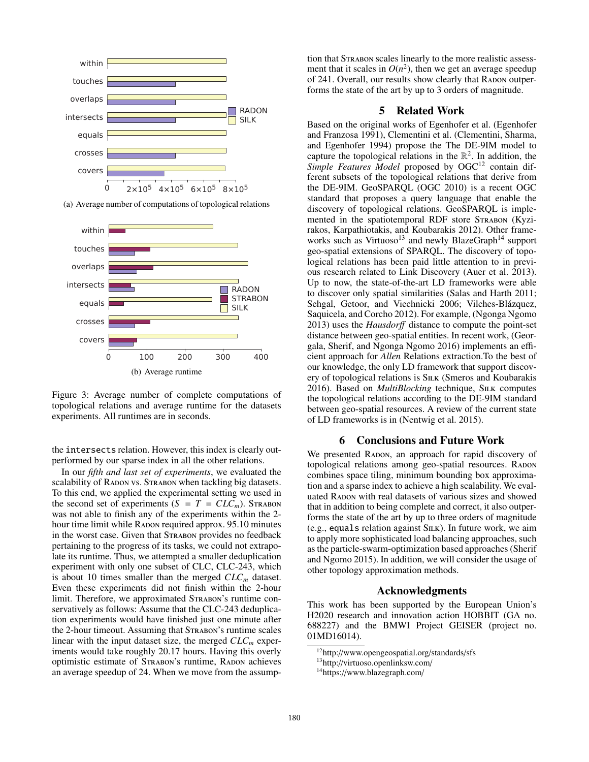

(a) Average number of computations of topological relations



Figure 3: Average number of complete computations of topological relations and average runtime for the datasets experiments. All runtimes are in seconds.

the intersects relation. However, this index is clearly outperformed by our sparse index in all the other relations.

In our *fifth and last set of experiments*, we evaluated the scalability of RADON vs. STRABON when tackling big datasets. To this end, we applied the experimental setting we used in the second set of experiments  $(S = T = CLC_m)$ . STRABON was not able to finish any of the experiments within the 2 hour time limit while RADON required approx. 95.10 minutes in the worst case. Given that Strabon provides no feedback pertaining to the progress of its tasks, we could not extrapolate its runtime. Thus, we attempted a smaller deduplication experiment with only one subset of CLC, CLC-243, which is about 10 times smaller than the merged  $CLC_m$  dataset. Even these experiments did not finish within the 2-hour limit. Therefore, we approximated STRABON's runtime conservatively as follows: Assume that the CLC-243 deduplication experiments would have finished just one minute after the 2-hour timeout. Assuming that STRABON's runtime scales linear with the input dataset size, the merged  $CLC_m$  experiments would take roughly 20.17 hours. Having this overly optimistic estimate of STRABON's runtime, RADON achieves an average speedup of 24. When we move from the assump-

tion that STRABON scales linearly to the more realistic assessment that it scales in  $O(n^2)$ , then we get an average speedup of 241. Overall, our results show clearly that RADON outperforms the state of the art by up to 3 orders of magnitude.

### 5 Related Work

Based on the original works of Egenhofer et al. (Egenhofer and Franzosa 1991), Clementini et al. (Clementini, Sharma, and Egenhofer 1994) propose the The DE-9IM model to capture the topological relations in the  $\mathbb{R}^2$ . In addition, the Simple Features Model proposed by OGC<sup>12</sup> contain different subsets of the topological relations that derive from the DE-9IM. GeoSPARQL (OGC 2010) is a recent OGC standard that proposes a query language that enable the discovery of topological relations. GeoSPARQL is implemented in the spatiotemporal RDF store STRABON (Kyzirakos, Karpathiotakis, and Koubarakis 2012). Other frameworks such as Virtuoso<sup>13</sup> and newly BlazeGraph<sup>14</sup> support geo-spatial extensions of SPARQL. The discovery of topological relations has been paid little attention to in previous research related to Link Discovery (Auer et al. 2013). Up to now, the state-of-the-art LD frameworks were able to discover only spatial similarities (Salas and Harth 2011; Sehgal, Getoor, and Viechnicki 2006; Vilches-Blázquez, Saquicela, and Corcho 2012). For example, (Ngonga Ngomo 2013) uses the *Hausdor*ff distance to compute the point-set distance between geo-spatial entities. In recent work, (Georgala, Sherif, and Ngonga Ngomo 2016) implements an efficient approach for *Allen* Relations extraction.To the best of our knowledge, the only LD framework that support discovery of topological relations is S<sub>ILK</sub> (Smeros and Koubarakis 2016). Based on *MultiBlocking* technique, S<sub>ILK</sub> computes the topological relations according to the DE-9IM standard between geo-spatial resources. A review of the current state of LD frameworks is in (Nentwig et al. 2015).

#### 6 Conclusions and Future Work

We presented RADON, an approach for rapid discovery of topological relations among geo-spatial resources. RADON combines space tiling, minimum bounding box approximation and a sparse index to achieve a high scalability. We evaluated RADON with real datasets of various sizes and showed that in addition to being complete and correct, it also outperforms the state of the art by up to three orders of magnitude (e.g., equals relation against Silk). In future work, we aim to apply more sophisticated load balancing approaches, such as the particle-swarm-optimization based approaches (Sherif and Ngomo 2015). In addition, we will consider the usage of other topology approximation methods.

#### Acknowledgments

This work has been supported by the European Union's H2020 research and innovation action HOBBIT (GA no. 688227) and the BMWI Project GEISER (project no. 01MD16014).

<sup>12</sup>http://www.opengeospatial.org/standards/sfs

<sup>13</sup>http://virtuoso.openlinksw.com/

<sup>14</sup>https://www.blazegraph.com/